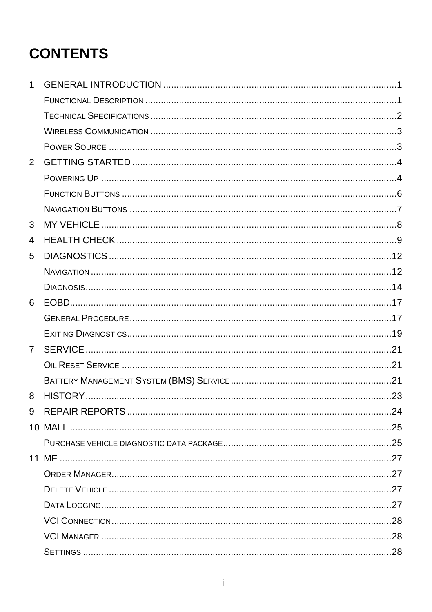## **CONTENTS**

| 1           |  |
|-------------|--|
|             |  |
|             |  |
|             |  |
|             |  |
| 2           |  |
|             |  |
|             |  |
|             |  |
| 3           |  |
| 4           |  |
| 5           |  |
|             |  |
|             |  |
| 6           |  |
|             |  |
|             |  |
| $7^{\circ}$ |  |
|             |  |
|             |  |
| 8           |  |
| 9           |  |
|             |  |
|             |  |
|             |  |
|             |  |
|             |  |
|             |  |
|             |  |
|             |  |
|             |  |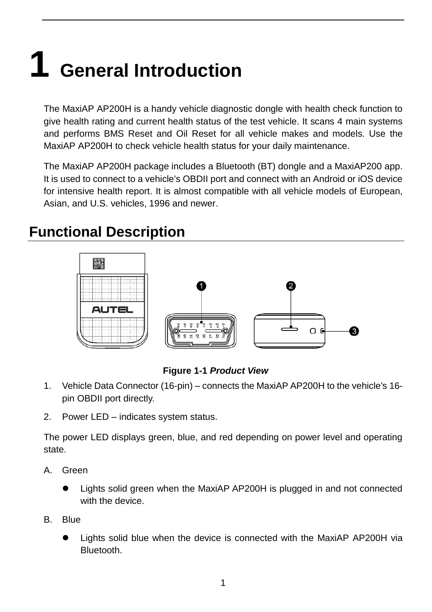# **1 General Introduction**

The MaxiAP AP200H is a handy vehicle diagnostic dongle with health check function to give health rating and current health status of the test vehicle. It scans 4 main systems and performs BMS Reset and Oil Reset for all vehicle makes and models. Use the MaxiAP AP200H to check vehicle health status for your daily maintenance.

The MaxiAP AP200H package includes a Bluetooth (BT) dongle and a MaxiAP200 app. It is used to connect to a vehicle's OBDII port and connect with an Android or iOS device for intensive health report. It is almost compatible with all vehicle models of European, Asian, and U.S. vehicles, 1996 and newer.

## **Functional Description**



#### **Figure 1-1** *Product View*

- 1. Vehicle Data Connector (16-pin) connects the MaxiAP AP200H to the vehicle's 16 pin OBDII port directly.
- 2. Power LED indicates system status.

The power LED displays green, blue, and red depending on power level and operating state.

- A. Green
	- Lights solid green when the MaxiAP AP200H is plugged in and not connected with the device.
- B. Blue
	- Lights solid blue when the device is connected with the MaxiAP AP200H via Bluetooth.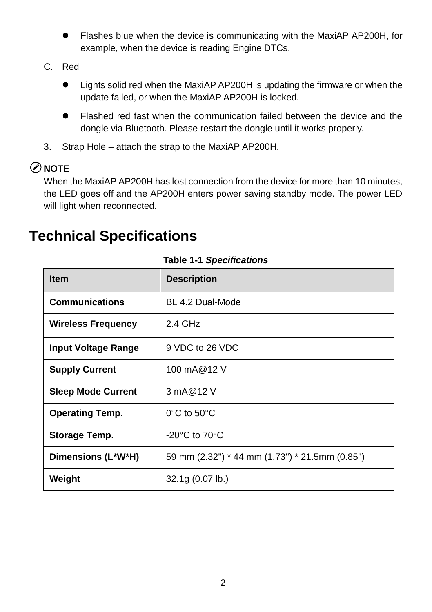- Flashes blue when the device is communicating with the MaxiAP AP200H, for example, when the device is reading Engine DTCs.
- C. Red
	- Lights solid red when the MaxiAP AP200H is updating the firmware or when the update failed, or when the MaxiAP AP200H is locked.
	- Flashed red fast when the communication failed between the device and the dongle via Bluetooth. Please restart the dongle until it works properly.
- 3. Strap Hole attach the strap to the MaxiAP AP200H.

#### **⊘**NOTE

When the MaxiAP AP200H has lost connection from the device for more than 10 minutes, the LED goes off and the AP200H enters power saving standby mode. The power LED will light when reconnected.

## **Technical Specifications**

| <b>Item</b>                | <b>Description</b>                             |
|----------------------------|------------------------------------------------|
| <b>Communications</b>      | BL 4.2 Dual-Mode                               |
| <b>Wireless Frequency</b>  | $2.4$ GHz                                      |
| <b>Input Voltage Range</b> | 9 VDC to 26 VDC                                |
| <b>Supply Current</b>      | 100 mA@12 V                                    |
| <b>Sleep Mode Current</b>  | 3 mA@12 V                                      |
| <b>Operating Temp.</b>     | $0^{\circ}$ C to 50 $^{\circ}$ C               |
| Storage Temp.              | -20 $^{\circ}$ C to 70 $^{\circ}$ C            |
| Dimensions (L*W*H)         | 59 mm (2.32") * 44 mm (1.73") * 21.5mm (0.85") |
| Weight                     | 32.1g (0.07 lb.)                               |

#### **Table 1-1** *Specifications*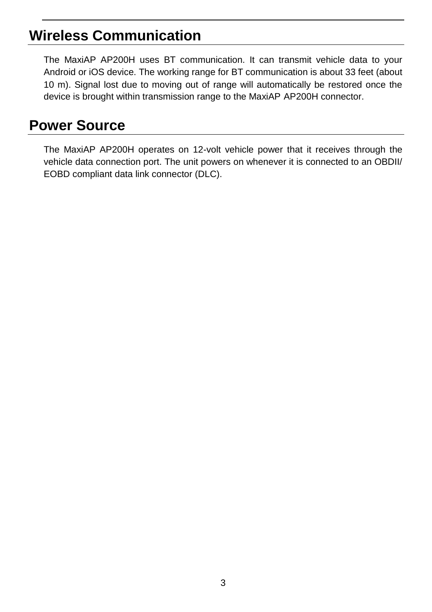## **Wireless Communication**

The MaxiAP AP200H uses BT communication. It can transmit vehicle data to your Android or iOS device. The working range for BT communication is about 33 feet (about 10 m). Signal lost due to moving out of range will automatically be restored once the device is brought within transmission range to the MaxiAP AP200H connector.

## **Power Source**

The MaxiAP AP200H operates on 12-volt vehicle power that it receives through the vehicle data connection port. The unit powers on whenever it is connected to an OBDII/ EOBD compliant data link connector (DLC).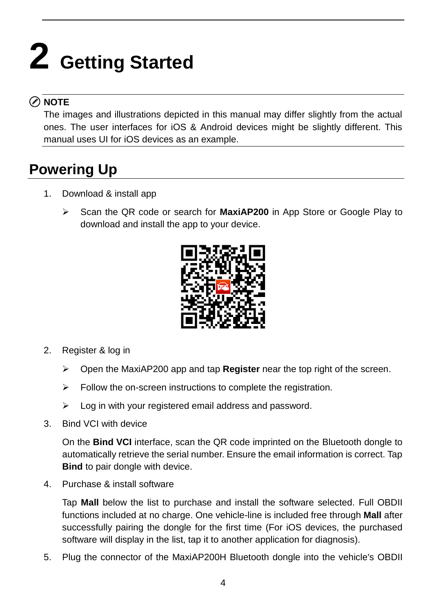# **2 Getting Started**

### ⊘ NOTE

The images and illustrations depicted in this manual may differ slightly from the actual ones. The user interfaces for iOS & Android devices might be slightly different. This manual uses UI for iOS devices as an example.

## <span id="page-5-0"></span>**Powering Up**

- 1. Download & install app
	- Scan the QR code or search for **MaxiAP200** in App Store or Google Play to download and install the app to your device.



- 2. Register & log in
	- Open the MaxiAP200 app and tap **Register** near the top right of the screen.
	- $\triangleright$  Follow the on-screen instructions to complete the registration.
	- $\triangleright$  Log in with your registered email address and password.
- 3. Bind VCI with device

On the **Bind VCI** interface, scan the QR code imprinted on the Bluetooth dongle to automatically retrieve the serial number. Ensure the email information is correct. Tap **Bind** to pair dongle with device.

4. Purchase & install software

Tap **Mall** below the list to purchase and install the software selected. Full OBDII functions included at no charge. One vehicle-line is included free through **Mall** after successfully pairing the dongle for the first time (For iOS devices, the purchased software will display in the list, tap it to another application for diagnosis).

5. Plug the connector of the MaxiAP200H Bluetooth dongle into the vehicle's OBDII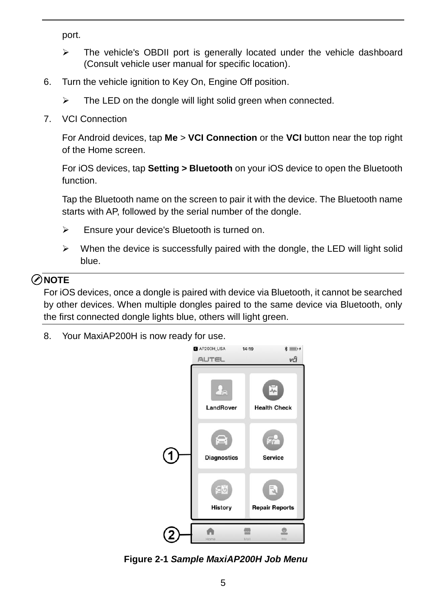port.

- $\triangleright$  The vehicle's OBDII port is generally located under the vehicle dashboard (Consult vehicle user manual for specific location).
- 6. Turn the vehicle ignition to Key On, Engine Off position.
	- $\triangleright$  The LED on the dongle will light solid green when connected.
- 7. VCI Connection

For Android devices, tap **Me** > **VCI Connection** or the **VCI** button near the top right of the Home screen.

For iOS devices, tap **Setting > Bluetooth** on your iOS device to open the Bluetooth function.

Tap the Bluetooth name on the screen to pair it with the device. The Bluetooth name starts with AP, followed by the serial number of the dongle.

- Ensure your device's Bluetooth is turned on.
- $\triangleright$  When the device is successfully paired with the dongle, the LED will light solid blue.

#### **⊘NOTE**

For iOS devices, once a dongle is paired with device via Bluetooth, it cannot be searched by other devices. When multiple dongles paired to the same device via Bluetooth, only the first connected dongle lights blue, others will light green.

8. Your MaxiAP200H is now ready for use.



**Figure 2-1** *Sample MaxiAP200H Job Menu*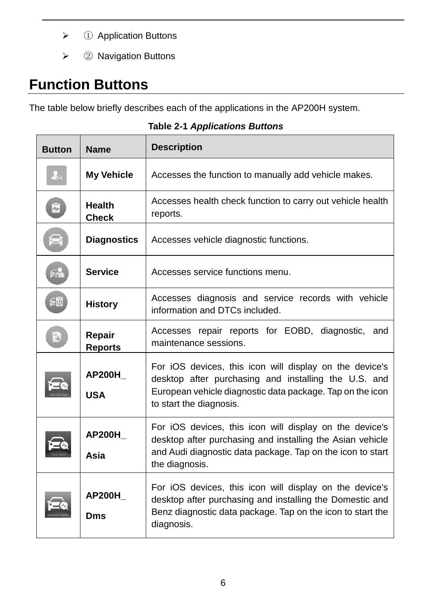- ① Application Buttons
- ② Navigation Buttons

## **Function Buttons**

The table below briefly describes each of the applications in the AP200H system.

| <b>Button</b>      | <b>Name</b>                   | <b>Description</b>                                                                                                                                                                                      |  |
|--------------------|-------------------------------|---------------------------------------------------------------------------------------------------------------------------------------------------------------------------------------------------------|--|
| $\frac{1}{2}$      | <b>My Vehicle</b>             | Accesses the function to manually add vehicle makes.                                                                                                                                                    |  |
| $\bar{\mathbf{z}}$ | <b>Health</b><br><b>Check</b> | Accesses health check function to carry out vehicle health<br>reports.                                                                                                                                  |  |
| 合                  | <b>Diagnostics</b>            | Accesses vehicle diagnostic functions.                                                                                                                                                                  |  |
| Fra                | <b>Service</b>                | Accesses service functions menu.                                                                                                                                                                        |  |
| 신화                 | <b>History</b>                | Accesses diagnosis and service records with vehicle<br>information and DTCs included.                                                                                                                   |  |
| $\bar{a}$          | Repair<br><b>Reports</b>      | Accesses repair reports for EOBD, diagnostic, and<br>maintenance sessions.                                                                                                                              |  |
|                    | <b>AP200H</b><br><b>USA</b>   | For iOS devices, this icon will display on the device's<br>desktop after purchasing and installing the U.S. and<br>European vehicle diagnostic data package. Tap on the icon<br>to start the diagnosis. |  |
|                    | <b>AP200H</b><br>Asia         | For iOS devices, this icon will display on the device's<br>desktop after purchasing and installing the Asian vehicle<br>and Audi diagnostic data package. Tap on the icon to start<br>the diagnosis.    |  |
|                    | <b>AP200H</b><br>Dms          | For iOS devices, this icon will display on the device's<br>desktop after purchasing and installing the Domestic and<br>Benz diagnostic data package. Tap on the icon to start the<br>diagnosis.         |  |

**Table 2-1** *Applications Buttons*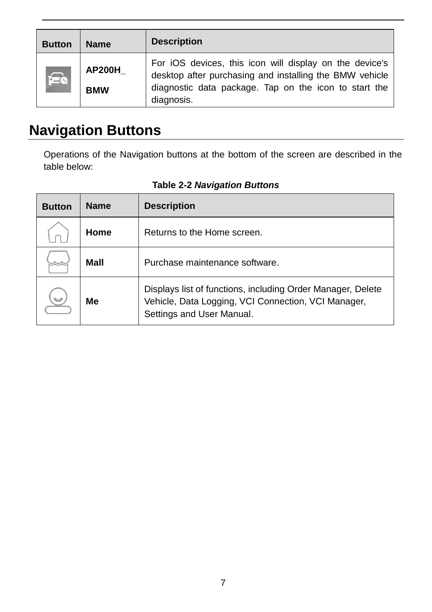| <b>Button</b> | <b>Name</b>          | <b>Description</b>                                                                                                                                                                        |
|---------------|----------------------|-------------------------------------------------------------------------------------------------------------------------------------------------------------------------------------------|
|               | AP200H<br><b>BMW</b> | For iOS devices, this icon will display on the device's<br>desktop after purchasing and installing the BMW vehicle<br>diagnostic data package. Tap on the icon to start the<br>diagnosis. |

## **Navigation Buttons**

Operations of the Navigation buttons at the bottom of the screen are described in the table below:

| <b>Button</b> | <b>Name</b> | <b>Description</b>                                                                                                                              |
|---------------|-------------|-------------------------------------------------------------------------------------------------------------------------------------------------|
|               | Home        | Returns to the Home screen.                                                                                                                     |
|               | Mall        | Purchase maintenance software.                                                                                                                  |
|               | Мe          | Displays list of functions, including Order Manager, Delete<br>Vehicle, Data Logging, VCI Connection, VCI Manager,<br>Settings and User Manual. |

**Table 2-2** *Navigation Buttons*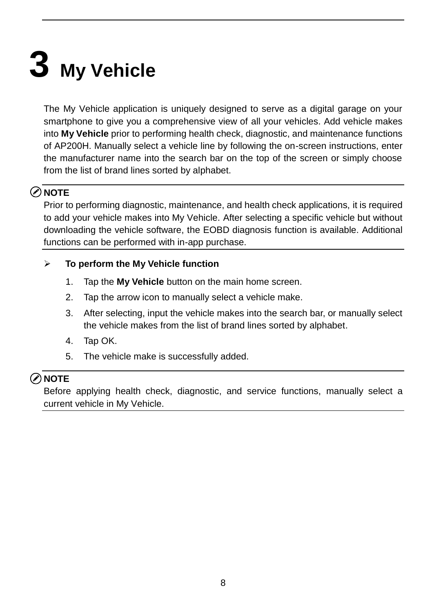# **3 My Vehicle**

The My Vehicle application is uniquely designed to serve as a digital garage on your smartphone to give you a comprehensive view of all your vehicles. Add vehicle makes into **My Vehicle** prior to performing health check, diagnostic, and maintenance functions of AP200H. Manually select a vehicle line by following the on-screen instructions, enter the manufacturer name into the search bar on the top of the screen or simply choose from the list of brand lines sorted by alphabet.

#### **NOTE**

Prior to performing diagnostic, maintenance, and health check applications, it is required to add your vehicle makes into My Vehicle. After selecting a specific vehicle but without downloading the vehicle software, the EOBD diagnosis function is available. Additional functions can be performed with in-app purchase.

#### **To perform the My Vehicle function**

- 1. Tap the **My Vehicle** button on the main home screen.
- 2. Tap the arrow icon to manually select a vehicle make.
- 3. After selecting, input the vehicle makes into the search bar, or manually select the vehicle makes from the list of brand lines sorted by alphabet.
- 4. Tap OK.
- 5. The vehicle make is successfully added.

#### **⊘ NOTE**

Before applying health check, diagnostic, and service functions, manually select a current vehicle in My Vehicle.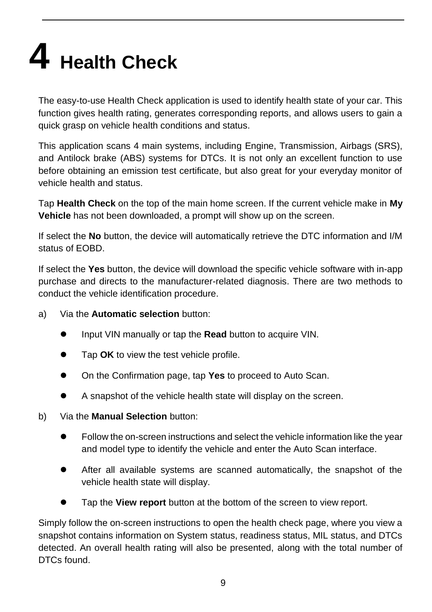# **4 Health Check**

The easy-to-use Health Check application is used to identify health state of your car. This function gives health rating, generates corresponding reports, and allows users to gain a quick grasp on vehicle health conditions and status.

This application scans 4 main systems, including Engine, Transmission, Airbags (SRS), and Antilock brake (ABS) systems for DTCs. It is not only an excellent function to use before obtaining an emission test certificate, but also great for your everyday monitor of vehicle health and status.

Tap **Health Check** on the top of the main home screen. If the current vehicle make in **My Vehicle** has not been downloaded, a prompt will show up on the screen.

If select the **No** button, the device will automatically retrieve the DTC information and I/M status of EOBD.

If select the **Yes** button, the device will download the specific vehicle software with in-app purchase and directs to the manufacturer-related diagnosis. There are two methods to conduct the vehicle identification procedure.

- a) Via the **Automatic selection** button:
	- Input VIN manually or tap the **Read** button to acquire VIN.
	- Tap **OK** to view the test vehicle profile.
	- On the Confirmation page, tap **Yes** to proceed to Auto Scan.
	- A snapshot of the vehicle health state will display on the screen.
- b) Via the **Manual Selection** button:
	- Follow the on-screen instructions and select the vehicle information like the year and model type to identify the vehicle and enter the Auto Scan interface.
	- After all available systems are scanned automatically, the snapshot of the vehicle health state will display.
	- Tap the **View report** button at the bottom of the screen to view report.

Simply follow the on-screen instructions to open the health check page, where you view a snapshot contains information on System status, readiness status, MIL status, and DTCs detected. An overall health rating will also be presented, along with the total number of DTCs found.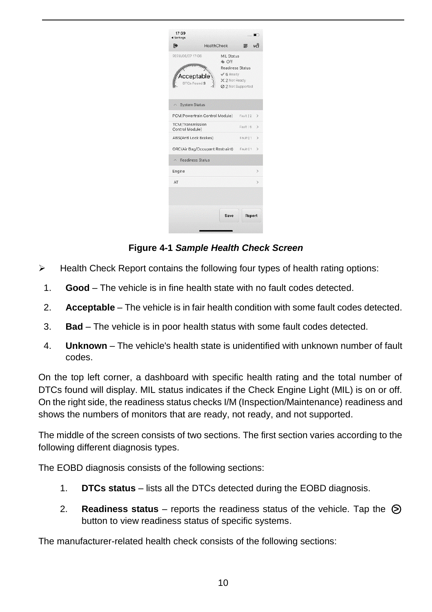| 17:39<br><br><b>sottings</b>                  |                                                                                     |                   |               |
|-----------------------------------------------|-------------------------------------------------------------------------------------|-------------------|---------------|
| 险                                             | <b>HealthCheck</b>                                                                  | 三                 | งศ์           |
| 2020/06/07 17:06<br>cceptable<br>DTCs Found:9 | MIL Status<br><b>A</b> Off<br>Readiness Status<br>$\sqrt{6}$ Ready<br>X 2 Not Ready | 2 2 Not Supported |               |
| <b>System Status</b>                          |                                                                                     |                   |               |
|                                               | PCM(Powertrain Control Module)                                                      | Fault   2         | $\mathcal{P}$ |
| <b>TCM</b> (Transmission<br>Control Module)   |                                                                                     | Fault   5         | $\rightarrow$ |
| ABS(Anti Lock Brakes)                         |                                                                                     | Fault   1         | $\mathcal{P}$ |
|                                               | ORC(Air Bag/Occupant Restraint) Fault   1                                           |                   | $\mathcal{E}$ |
| $\land$ Readiness Status                      |                                                                                     |                   |               |
| Engine                                        |                                                                                     |                   | $\mathcal{P}$ |
| AT                                            |                                                                                     |                   | $\mathcal{E}$ |
|                                               | Save                                                                                | Report            |               |

#### **Figure 4-1** *Sample Health Check Screen*

- $\triangleright$  Health Check Report contains the following four types of health rating options:
- 1. **Good**  The vehicle is in fine health state with no fault codes detected.
- 2. **Acceptable** The vehicle is in fair health condition with some fault codes detected.
- 3. **Bad** The vehicle is in poor health status with some fault codes detected.
- 4. **Unknown** The vehicle's health state is unidentified with unknown number of fault codes.

On the top left corner, a dashboard with specific health rating and the total number of DTCs found will display. MIL status indicates if the Check Engine Light (MIL) is on or off. On the right side, the readiness status checks I/M (Inspection/Maintenance) readiness and shows the numbers of monitors that are ready, not ready, and not supported.

The middle of the screen consists of two sections. The first section varies according to the following different diagnosis types.

The EOBD diagnosis consists of the following sections:

- 1. **DTCs status** lists all the DTCs detected during the EOBD diagnosis.
- 2. **Readiness status** reports the readiness status of the vehicle. Tap the ○**>** button to view readiness status of specific systems.

The manufacturer-related health check consists of the following sections: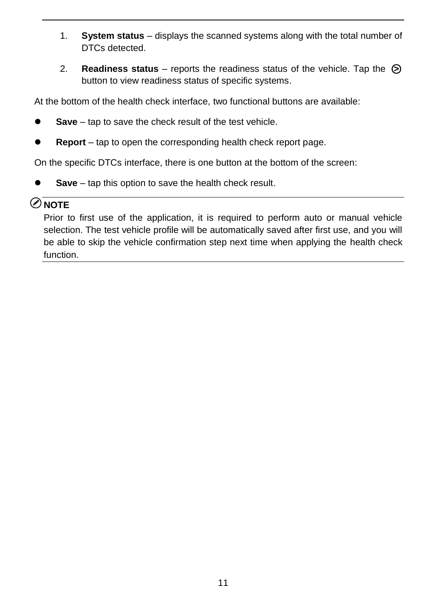- 1. **System status** displays the scanned systems along with the total number of DTCs detected.
- 2. **Readiness status** reports the readiness status of the vehicle. Tap the ○**>** button to view readiness status of specific systems.

At the bottom of the health check interface, two functional buttons are available:

- **Save** tap to save the check result of the test vehicle.
- **Report** tap to open the corresponding health check report page.

On the specific DTCs interface, there is one button at the bottom of the screen:

**Save** – tap this option to save the health check result.

#### © NOTF

Prior to first use of the application, it is required to perform auto or manual vehicle selection. The test vehicle profile will be automatically saved after first use, and you will be able to skip the vehicle confirmation step next time when applying the health check function.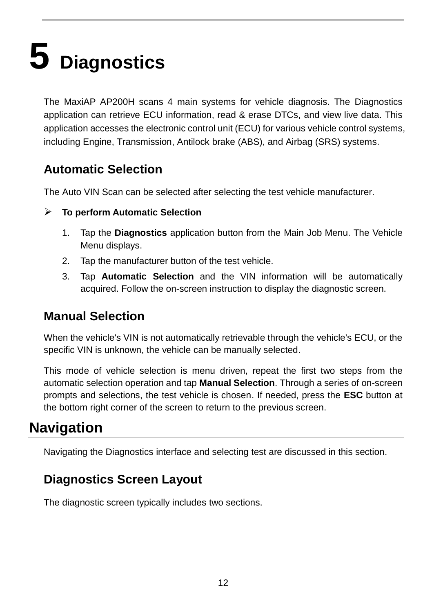# **5 Diagnostics**

The MaxiAP AP200H scans 4 main systems for vehicle diagnosis. The Diagnostics application can retrieve ECU information, read & erase DTCs, and view live data. This application accesses the electronic control unit (ECU) for various vehicle control systems, including Engine, Transmission, Antilock brake (ABS), and Airbag (SRS) systems.

### **Automatic Selection**

The Auto VIN Scan can be selected after selecting the test vehicle manufacturer.

- **To perform Automatic Selection**
	- 1. Tap the **Diagnostics** application button from the Main Job Menu. The Vehicle Menu displays.
	- 2. Tap the manufacturer button of the test vehicle.
	- 3. Tap **Automatic Selection** and the VIN information will be automatically acquired. Follow the on-screen instruction to display the diagnostic screen.

### **Manual Selection**

When the vehicle's VIN is not automatically retrievable through the vehicle's ECU, or the specific VIN is unknown, the vehicle can be manually selected.

This mode of vehicle selection is menu driven, repeat the first two steps from the automatic selection operation and tap **Manual Selection**. Through a series of on-screen prompts and selections, the test vehicle is chosen. If needed, press the **ESC** button at the bottom right corner of the screen to return to the previous screen.

### **Navigation**

Navigating the Diagnostics interface and selecting test are discussed in this section.

### **Diagnostics Screen Layout**

The diagnostic screen typically includes two sections.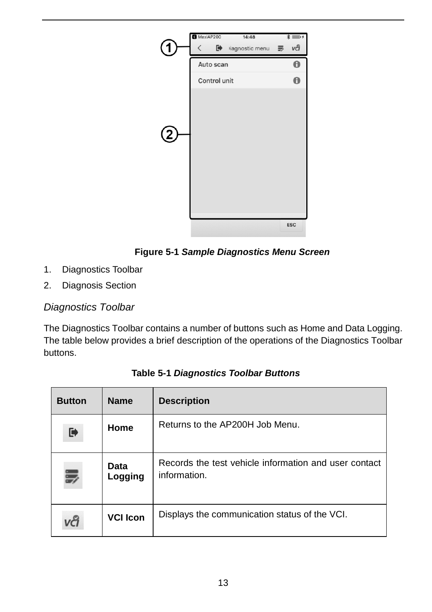



- 1. Diagnostics Toolbar
- 2. Diagnosis Section

#### *Diagnostics Toolbar*

The Diagnostics Toolbar contains a number of buttons such as Home and Data Logging. The table below provides a brief description of the operations of the Diagnostics Toolbar buttons.

| <b>Button</b> | <b>Name</b>     | <b>Description</b>                                                    |
|---------------|-----------------|-----------------------------------------------------------------------|
| D             | Home            | Returns to the AP200H Job Menu.                                       |
|               | Data<br>Logging | Records the test vehicle information and user contact<br>information. |
|               | <b>VCI Icon</b> | Displays the communication status of the VCI.                         |

**Table 5-1** *Diagnostics Toolbar Buttons*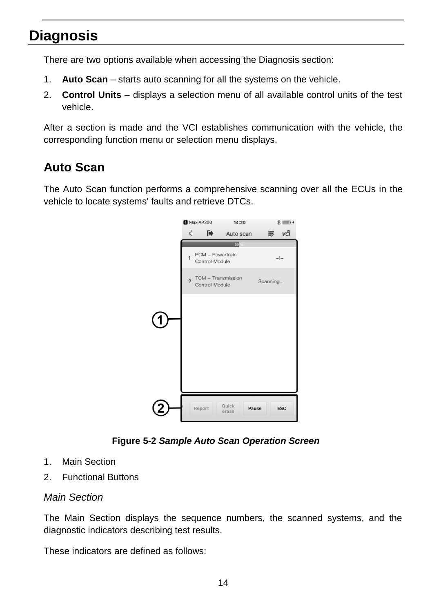## **Diagnosis**

There are two options available when accessing the Diagnosis section:

- 1. **Auto Scan** starts auto scanning for all the systems on the vehicle.
- 2. **Control Units** displays a selection menu of all available control units of the test vehicle.

After a section is made and the VCI establishes communication with the vehicle, the corresponding function menu or selection menu displays.

### **Auto Scan**

The Auto Scan function performs a comprehensive scanning over all the ECUs in the vehicle to locate systems' faults and retrieve DTCs.



**Figure 5-2** *Sample Auto Scan Operation Screen*

- 1. Main Section
- 2. Functional Buttons

#### *Main Section*

The Main Section displays the sequence numbers, the scanned systems, and the diagnostic indicators describing test results.

These indicators are defined as follows: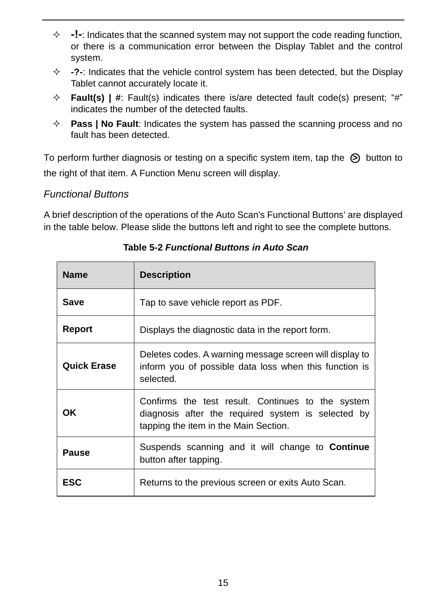- **-!-**: Indicates that the scanned system may not support the code reading function, or there is a communication error between the Display Tablet and the control system.
- **-?-**: Indicates that the vehicle control system has been detected, but the Display Tablet cannot accurately locate it.
- **Fault(s) | #**: Fault(s) indicates there is/are detected fault code(s) present; "#" indicates the number of the detected faults.
- $\Diamond$  **Pass | No Fault**: Indicates the system has passed the scanning process and no fault has been detected.

To perform further diagnosis or testing on a specific system item, tap the ○**>** button to the right of that item. A Function Menu screen will display.

#### *Functional Buttons*

A brief description of the operations of the Auto Scan's Functional Buttons' are displayed in the table below. Please slide the buttons left and right to see the complete buttons.

| <b>Name</b>        | <b>Description</b>                                                                                                                               |
|--------------------|--------------------------------------------------------------------------------------------------------------------------------------------------|
| Save               | Tap to save vehicle report as PDF.                                                                                                               |
| Report             | Displays the diagnostic data in the report form.                                                                                                 |
| <b>Quick Erase</b> | Deletes codes. A warning message screen will display to<br>inform you of possible data loss when this function is<br>selected.                   |
| <b>OK</b>          | Confirms the test result. Continues to the system<br>diagnosis after the required system is selected by<br>tapping the item in the Main Section. |
| Pause              | Suspends scanning and it will change to <b>Continue</b><br>button after tapping.                                                                 |
| <b>ESC</b>         | Returns to the previous screen or exits Auto Scan.                                                                                               |

**Table 5-2** *Functional Buttons in Auto Scan*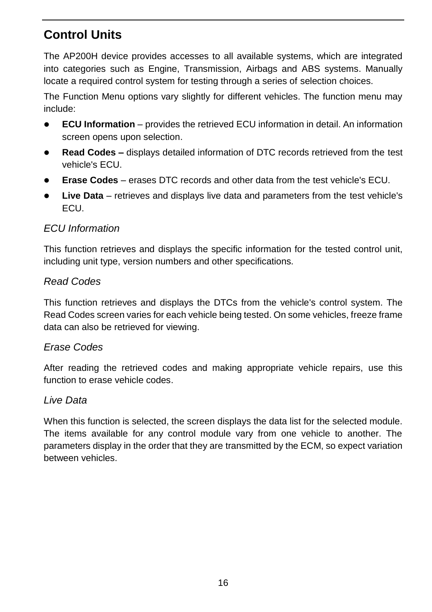### **Control Units**

The AP200H device provides accesses to all available systems, which are integrated into categories such as Engine, Transmission, Airbags and ABS systems. Manually locate a required control system for testing through a series of selection choices.

The Function Menu options vary slightly for different vehicles. The function menu may include:

- **ECU Information** provides the retrieved ECU information in detail. An information screen opens upon selection.
- **Read Codes –** displays detailed information of DTC records retrieved from the test vehicle's ECU.
- **Erase Codes** erases DTC records and other data from the test vehicle's ECU.
- **Live Data** retrieves and displays live data and parameters from the test vehicle's ECU.

#### *ECU Information*

This function retrieves and displays the specific information for the tested control unit, including unit type, version numbers and other specifications.

#### *Read Codes*

This function retrieves and displays the DTCs from the vehicle's control system. The Read Codes screen varies for each vehicle being tested. On some vehicles, freeze frame data can also be retrieved for viewing.

#### *Erase Codes*

After reading the retrieved codes and making appropriate vehicle repairs, use this function to erase vehicle codes.

#### *Live Data*

When this function is selected, the screen displays the data list for the selected module. The items available for any control module vary from one vehicle to another. The parameters display in the order that they are transmitted by the ECM, so expect variation between vehicles.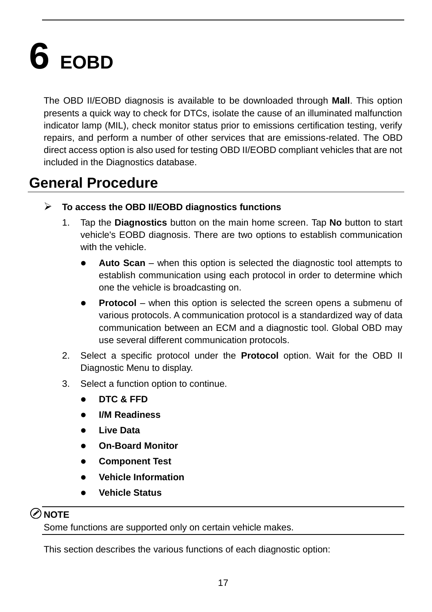# **6 EOBD**

The OBD II/EOBD diagnosis is available to be downloaded through **Mall**. This option presents a quick way to check for DTCs, isolate the cause of an illuminated malfunction indicator lamp (MIL), check monitor status prior to emissions certification testing, verify repairs, and perform a number of other services that are emissions-related. The OBD direct access option is also used for testing OBD II/EOBD compliant vehicles that are not included in the Diagnostics database.

## **General Procedure**

- **To access the OBD II/EOBD diagnostics functions**
	- 1. Tap the **Diagnostics** button on the main home screen. Tap **No** button to start vehicle's EOBD diagnosis. There are two options to establish communication with the vehicle.
		- **Auto Scan** when this option is selected the diagnostic tool attempts to establish communication using each protocol in order to determine which one the vehicle is broadcasting on.
		- **Protocol** when this option is selected the screen opens a submenu of various protocols. A communication protocol is a standardized way of data communication between an ECM and a diagnostic tool. Global OBD may use several different communication protocols.
	- 2. Select a specific protocol under the **Protocol** option. Wait for the OBD II Diagnostic Menu to display.
	- 3. Select a function option to continue.
		- **DTC & FFD**
		- **I/M Readiness**
		- **Live Data**
		- **On-Board Monitor**
		- **Component Test**
		- **Vehicle Information**
		- **Vehicle Status**

#### **NOTE**

Some functions are supported only on certain vehicle makes.

This section describes the various functions of each diagnostic option: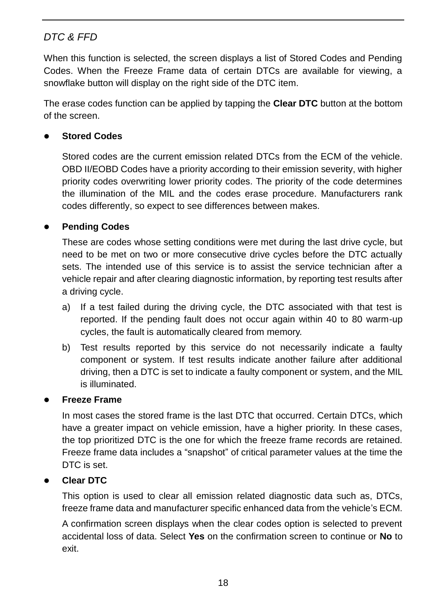#### *DTC & FFD*

When this function is selected, the screen displays a list of Stored Codes and Pending Codes. When the Freeze Frame data of certain DTCs are available for viewing, a snowflake button will display on the right side of the DTC item.

The erase codes function can be applied by tapping the **Clear DTC** button at the bottom of the screen.

#### **Stored Codes**

Stored codes are the current emission related DTCs from the ECM of the vehicle. OBD II/EOBD Codes have a priority according to their emission severity, with higher priority codes overwriting lower priority codes. The priority of the code determines the illumination of the MIL and the codes erase procedure. Manufacturers rank codes differently, so expect to see differences between makes.

#### **Pending Codes**

These are codes whose setting conditions were met during the last drive cycle, but need to be met on two or more consecutive drive cycles before the DTC actually sets. The intended use of this service is to assist the service technician after a vehicle repair and after clearing diagnostic information, by reporting test results after a driving cycle.

- a) If a test failed during the driving cycle, the DTC associated with that test is reported. If the pending fault does not occur again within 40 to 80 warm-up cycles, the fault is automatically cleared from memory.
- b) Test results reported by this service do not necessarily indicate a faulty component or system. If test results indicate another failure after additional driving, then a DTC is set to indicate a faulty component or system, and the MIL is illuminated.

#### **Freeze Frame**

In most cases the stored frame is the last DTC that occurred. Certain DTCs, which have a greater impact on vehicle emission, have a higher priority. In these cases, the top prioritized DTC is the one for which the freeze frame records are retained. Freeze frame data includes a "snapshot" of critical parameter values at the time the DTC is set.

#### **Clear DTC**

This option is used to clear all emission related diagnostic data such as, DTCs, freeze frame data and manufacturer specific enhanced data from the vehicle's ECM.

A confirmation screen displays when the clear codes option is selected to prevent accidental loss of data. Select **Yes** on the confirmation screen to continue or **No** to exit.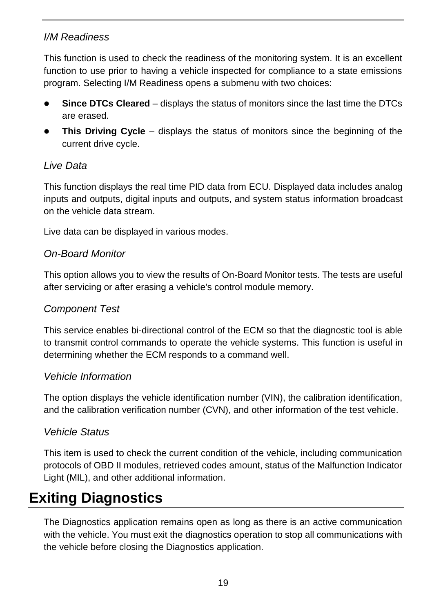#### *I/M Readiness*

This function is used to check the readiness of the monitoring system. It is an excellent function to use prior to having a vehicle inspected for compliance to a state emissions program. Selecting I/M Readiness opens a submenu with two choices:

- **Since DTCs Cleared** displays the status of monitors since the last time the DTCs are erased.
- **This Driving Cycle** displays the status of monitors since the beginning of the current drive cycle.

#### *Live Data*

This function displays the real time PID data from ECU. Displayed data includes analog inputs and outputs, digital inputs and outputs, and system status information broadcast on the vehicle data stream.

Live data can be displayed in various modes.

#### *On-Board Monitor*

This option allows you to view the results of On-Board Monitor tests. The tests are useful after servicing or after erasing a vehicle's control module memory.

#### *Component Test*

This service enables bi-directional control of the ECM so that the diagnostic tool is able to transmit control commands to operate the vehicle systems. This function is useful in determining whether the ECM responds to a command well.

#### *Vehicle Information*

The option displays the vehicle identification number (VIN), the calibration identification, and the calibration verification number (CVN), and other information of the test vehicle.

#### *Vehicle Status*

This item is used to check the current condition of the vehicle, including communication protocols of OBD II modules, retrieved codes amount, status of the Malfunction Indicator Light (MIL), and other additional information.

## **Exiting Diagnostics**

The Diagnostics application remains open as long as there is an active communication with the vehicle. You must exit the diagnostics operation to stop all communications with the vehicle before closing the Diagnostics application.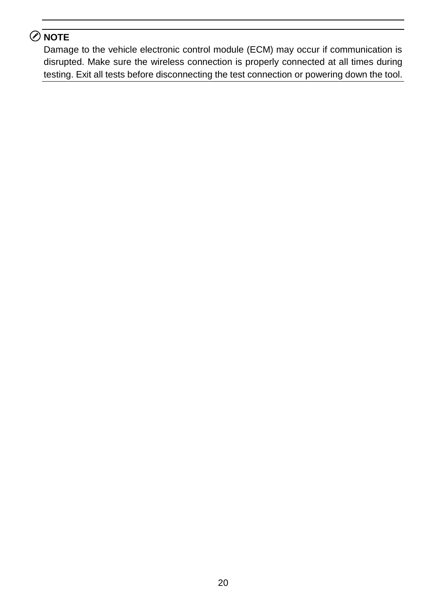### **NOTE**

Damage to the vehicle electronic control module (ECM) may occur if communication is disrupted. Make sure the wireless connection is properly connected at all times during testing. Exit all tests before disconnecting the test connection or powering down the tool.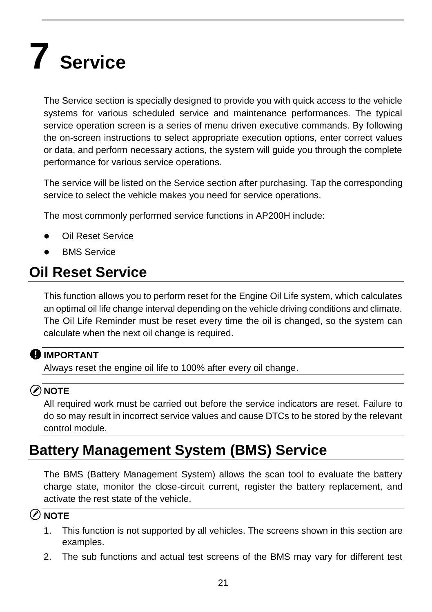# **7 Service**

The Service section is specially designed to provide you with quick access to the vehicle systems for various scheduled service and maintenance performances. The typical service operation screen is a series of menu driven executive commands. By following the on-screen instructions to select appropriate execution options, enter correct values or data, and perform necessary actions, the system will guide you through the complete performance for various service operations.

The service will be listed on the Service section after purchasing. Tap the corresponding service to select the vehicle makes you need for service operations.

The most commonly performed service functions in AP200H include:

- Oil Reset Service
- BMS Service

## **Oil Reset Service**

This function allows you to perform reset for the Engine Oil Life system, which calculates an optimal oil life change interval depending on the vehicle driving conditions and climate. The Oil Life Reminder must be reset every time the oil is changed, so the system can calculate when the next oil change is required.

#### **O** IMPORTANT

Always reset the engine oil life to 100% after every oil change.

#### **NOTE**

All required work must be carried out before the service indicators are reset. Failure to do so may result in incorrect service values and cause DTCs to be stored by the relevant control module.

## **Battery Management System (BMS) Service**

The BMS (Battery Management System) allows the scan tool to evaluate the battery charge state, monitor the close-circuit current, register the battery replacement, and activate the rest state of the vehicle.

#### **NOTE**

- 1. This function is not supported by all vehicles. The screens shown in this section are examples.
- 2. The sub functions and actual test screens of the BMS may vary for different test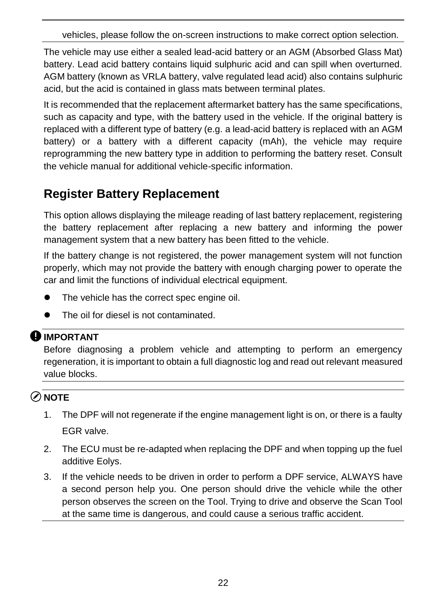vehicles, please follow the on-screen instructions to make correct option selection.

The vehicle may use either a sealed lead-acid battery or an AGM (Absorbed Glass Mat) battery. Lead acid battery contains liquid sulphuric acid and can spill when overturned. AGM battery (known as VRLA battery, valve regulated lead acid) also contains sulphuric acid, but the acid is contained in glass mats between terminal plates.

It is recommended that the replacement aftermarket battery has the same specifications, such as capacity and type, with the battery used in the vehicle. If the original battery is replaced with a different type of battery (e.g. a lead-acid battery is replaced with an AGM battery) or a battery with a different capacity (mAh), the vehicle may require reprogramming the new battery type in addition to performing the battery reset. Consult the vehicle manual for additional vehicle-specific information.

### **Register Battery Replacement**

This option allows displaying the mileage reading of last battery replacement, registering the battery replacement after replacing a new battery and informing the power management system that a new battery has been fitted to the vehicle.

If the battery change is not registered, the power management system will not function properly, which may not provide the battery with enough charging power to operate the car and limit the functions of individual electrical equipment.

- The vehicle has the correct spec engine oil.
- The oil for diesel is not contaminated.

#### **O** IMPORTANT

Before diagnosing a problem vehicle and attempting to perform an emergency regeneration, it is important to obtain a full diagnostic log and read out relevant measured value blocks.

#### **⊘**NOTE

- 1. The DPF will not regenerate if the engine management light is on, or there is a faulty EGR valve.
- 2. The ECU must be re-adapted when replacing the DPF and when topping up the fuel additive Eolys.
- 3. If the vehicle needs to be driven in order to perform a DPF service, ALWAYS have a second person help you. One person should drive the vehicle while the other person observes the screen on the Tool. Trying to drive and observe the Scan Tool at the same time is dangerous, and could cause a serious traffic accident.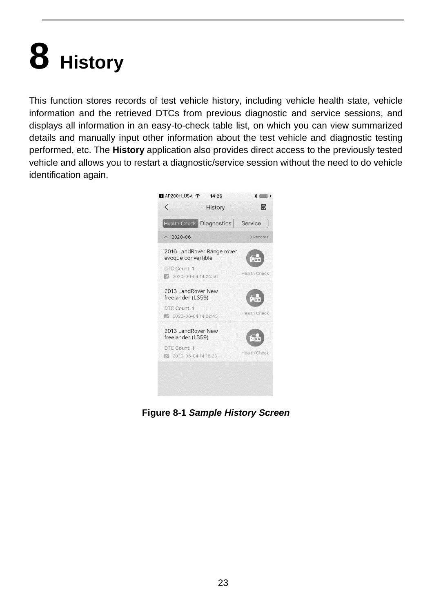# **8 History**

This function stores records of test vehicle history, including vehicle health state, vehicle information and the retrieved DTCs from previous diagnostic and service sessions, and displays all information in an easy-to-check table list, on which you can view summarized details and manually input other information about the test vehicle and diagnostic testing performed, etc. The **History** application also provides direct access to the previously tested vehicle and allows you to restart a diagnostic/service session without the need to do vehicle identification again.



**Figure 8-1** *Sample History Screen*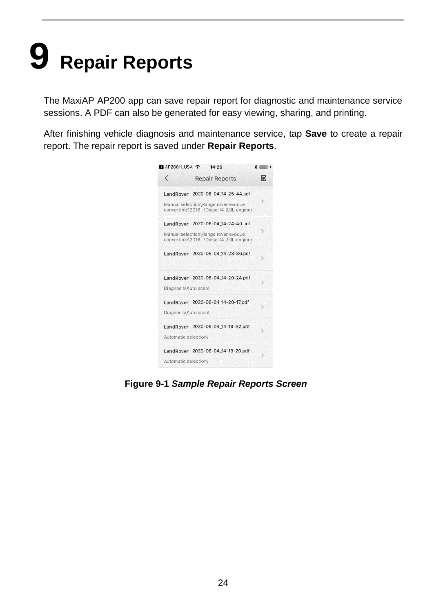# **9 Repair Reports**

The MaxiAP AP200 app can save repair report for diagnostic and maintenance service sessions. A PDF can also be generated for easy viewing, sharing, and printing.

After finishing vehicle diagnosis and maintenance service, tap **Save** to create a repair report. The repair report is saved under **Repair Reports**.



**Figure 9-1** *Sample Repair Reports Screen*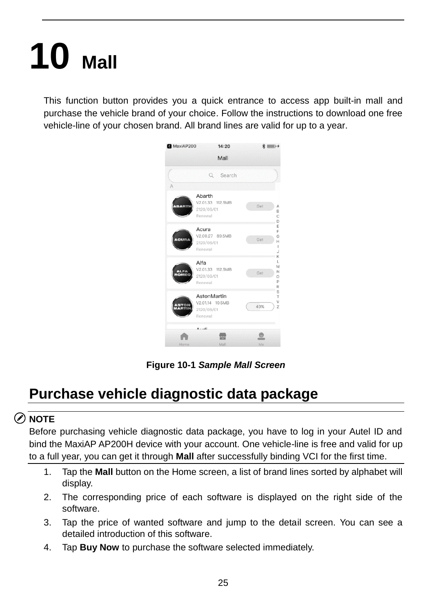# **10 Mall**

This function button provides you a quick entrance to access app built-in mall and purchase the vehicle brand of your choice. Follow the instructions to download one free vehicle-line of your chosen brand. All brand lines are valid for up to a year.



**Figure 10-1** *Sample Mall Screen*

## **Purchase vehicle diagnostic data package**

#### **NOTE**

Before purchasing vehicle diagnostic data package, you have to log in your Autel ID and bind the MaxiAP AP200H device with your account. One vehicle-line is free and valid for up to a full year, you can get it through **Mall** after successfully binding VCI for the first time.

- 1. Tap the **Mall** button on the Home screen, a list of brand lines sorted by alphabet will display.
- 2. The corresponding price of each software is displayed on the right side of the software.
- 3. Tap the price of wanted software and jump to the detail screen. You can see a detailed introduction of this software.
- 4. Tap **Buy Now** to purchase the software selected immediately.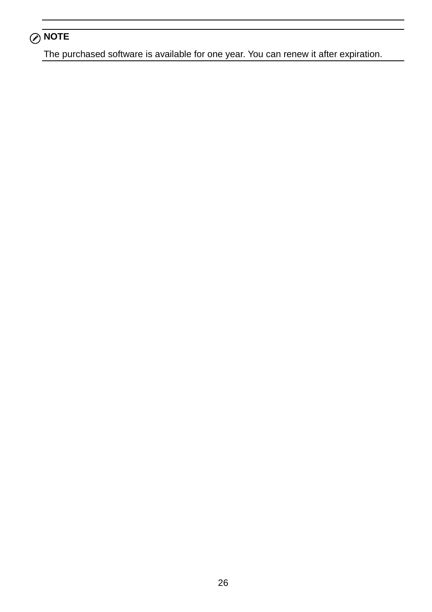### **NOTE**

The purchased software is available for one year. You can renew it after expiration.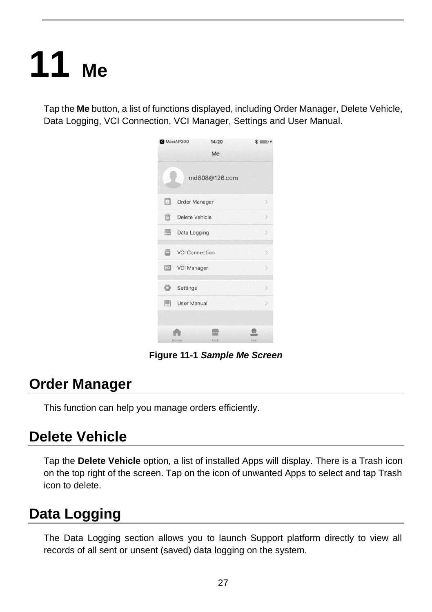# **11 Me**

Tap the **Me** button, a list of functions displayed, including Order Manager, Delete Vehicle, Data Logging, VCI Connection, VCI Manager, Settings and User Manual.



**Figure 11-1** *Sample Me Screen*

### **Order Manager**

This function can help you manage orders efficiently.

### **Delete Vehicle**

Tap the **Delete Vehicle** option, a list of installed Apps will display. There is a Trash icon on the top right of the screen. Tap on the icon of unwanted Apps to select and tap Trash icon to delete.

## **Data Logging**

The Data Logging section allows you to launch Support platform directly to view all records of all sent or unsent (saved) data logging on the system.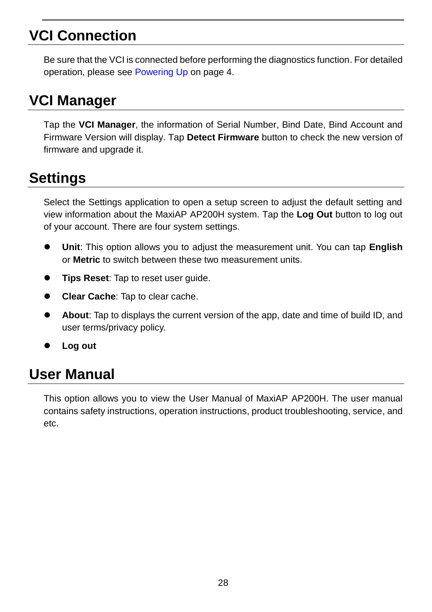## **VCI Connection**

Be sure that the VCI is connected before performing the diagnostics function. For detailed operation, please see [Powering Up](#page-5-0) on page 4.

## **VCI Manager**

Tap the **VCI Manager**, the information of Serial Number, Bind Date, Bind Account and Firmware Version will display. Tap **Detect Firmware** button to check the new version of firmware and upgrade it.

## **Settings**

Select the Settings application to open a setup screen to adjust the default setting and view information about the MaxiAP AP200H system. Tap the **Log Out** button to log out of your account. There are four system settings.

- **Unit**: This option allows you to adjust the measurement unit. You can tap **English** or **Metric** to switch between these two measurement units.
- **Tips Reset**: Tap to reset user guide.
- **Clear Cache**: Tap to clear cache.
- **About**: Tap to displays the current version of the app, date and time of build ID, and user terms/privacy policy.
- **Log out**

## **User Manual**

This option allows you to view the User Manual of MaxiAP AP200H. The user manual contains safety instructions, operation instructions, product troubleshooting, service, and etc.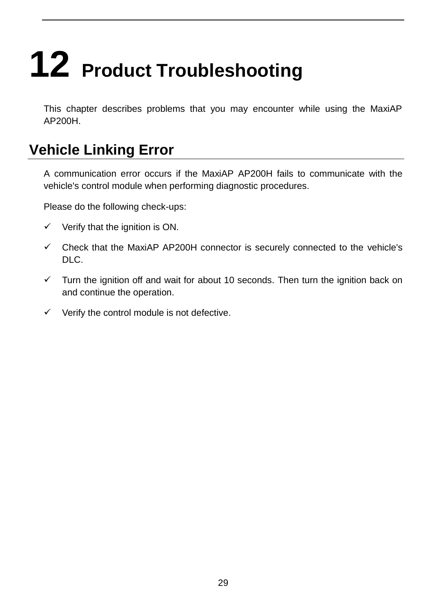# **12 Product Troubleshooting**

This chapter describes problems that you may encounter while using the MaxiAP AP200H.

## **Vehicle Linking Error**

A communication error occurs if the MaxiAP AP200H fails to communicate with the vehicle's control module when performing diagnostic procedures.

Please do the following check-ups:

- $\checkmark$  Verify that the ignition is ON.
- $\checkmark$  Check that the MaxiAP AP200H connector is securely connected to the vehicle's DLC.
- $\checkmark$  Turn the ignition off and wait for about 10 seconds. Then turn the ignition back on and continue the operation.
- $\checkmark$  Verify the control module is not defective.